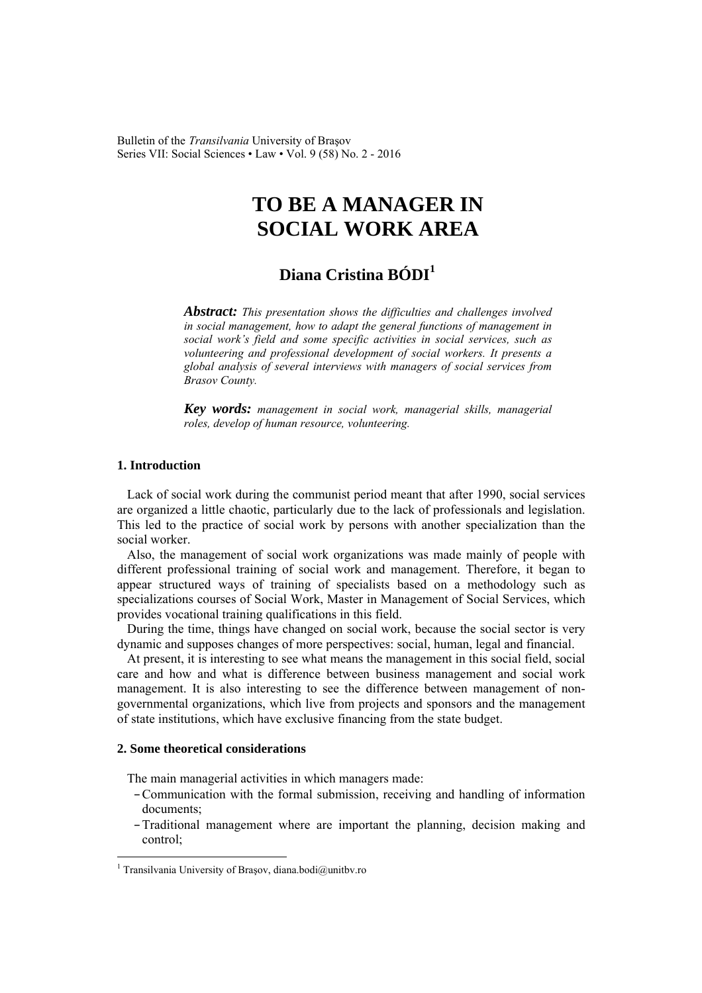Bulletin of the *Transilvania* University of Braşov Series VII: Social Sciences • Law • Vol. 9 (58) No. 2 - 2016

# **TO BE A MANAGER IN SOCIAL WORK AREA**

## **Diana Cristina BÓDI<sup>1</sup>**

*Abstract: This presentation shows the difficulties and challenges involved in social management, how to adapt the general functions of management in social work's field and some specific activities in social services, such as volunteering and professional development of social workers. It presents a global analysis of several interviews with managers of social services from Brasov County.* 

*Key words: management in social work, managerial skills, managerial roles, develop of human resource, volunteering.*

### **1. Introduction**

Lack of social work during the communist period meant that after 1990, social services are organized a little chaotic, particularly due to the lack of professionals and legislation. This led to the practice of social work by persons with another specialization than the social worker.

Also, the management of social work organizations was made mainly of people with different professional training of social work and management. Therefore, it began to appear structured ways of training of specialists based on a methodology such as specializations courses of Social Work, Master in Management of Social Services, which provides vocational training qualifications in this field.

During the time, things have changed on social work, because the social sector is very dynamic and supposes changes of more perspectives: social, human, legal and financial.

At present, it is interesting to see what means the management in this social field, social care and how and what is difference between business management and social work management. It is also interesting to see the difference between management of nongovernmental organizations, which live from projects and sponsors and the management of state institutions, which have exclusive financing from the state budget.

#### **2. Some theoretical considerations**

 $\overline{a}$ 

The main managerial activities in which managers made:

- –Communication with the formal submission, receiving and handling of information documents;
- –Traditional management where are important the planning, decision making and control;

<sup>1</sup> Transilvania University of Braşov, diana.bodi@unitbv.ro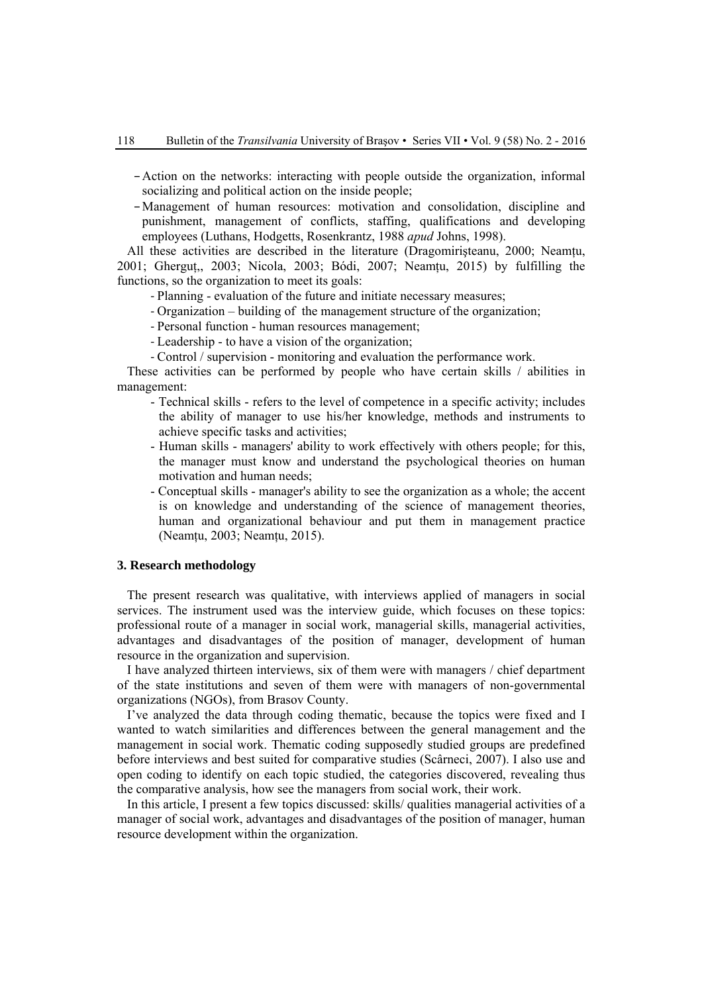–Action on the networks: interacting with people outside the organization, informal socializing and political action on the inside people;

–Management of human resources: motivation and consolidation, discipline and punishment, management of conflicts, staffing, qualifications and developing employees (Luthans, Hodgetts, Rosenkrantz, 1988 *apud* Johns, 1998).

All these activities are described in the literature (Dragomiristeanu, 2000; Neamțu, 2001; Ghergut,, 2003; Nicola, 2003; Bódi, 2007; Neamtu, 2015) by fulfilling the functions, so the organization to meet its goals:

- Planning evaluation of the future and initiate necessary measures;
- Organization building of the management structure of the organization;
- Personal function human resources management;
- Leadership to have a vision of the organization;
- Control / supervision monitoring and evaluation the performance work.

These activities can be performed by people who have certain skills / abilities in management:

- Technical skills refers to the level of competence in a specific activity; includes the ability of manager to use his/her knowledge, methods and instruments to achieve specific tasks and activities;
- Human skills managers' ability to work effectively with others people; for this, the manager must know and understand the psychological theories on human motivation and human needs;
- Conceptual skills manager's ability to see the organization as a whole; the accent is on knowledge and understanding of the science of management theories, human and organizational behaviour and put them in management practice (Neamțu, 2003; Neamțu, 2015).

#### **3. Research methodology**

The present research was qualitative, with interviews applied of managers in social services. The instrument used was the interview guide, which focuses on these topics: professional route of a manager in social work, managerial skills, managerial activities, advantages and disadvantages of the position of manager, development of human resource in the organization and supervision.

I have analyzed thirteen interviews, six of them were with managers / chief department of the state institutions and seven of them were with managers of non-governmental organizations (NGOs), from Brasov County.

I've analyzed the data through coding thematic, because the topics were fixed and I wanted to watch similarities and differences between the general management and the management in social work. Thematic coding supposedly studied groups are predefined before interviews and best suited for comparative studies (Scârneci, 2007). I also use and open coding to identify on each topic studied, the categories discovered, revealing thus the comparative analysis, how see the managers from social work, their work.

In this article, I present a few topics discussed: skills/ qualities managerial activities of a manager of social work, advantages and disadvantages of the position of manager, human resource development within the organization.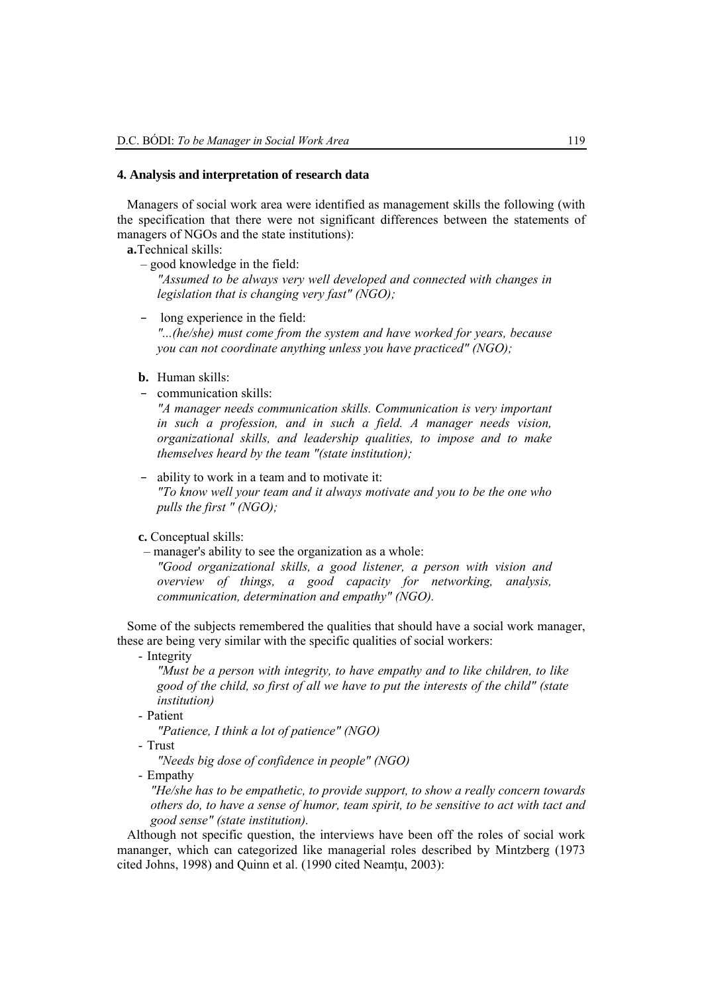#### **4. Analysis and interpretation of research data**

Managers of social work area were identified as management skills the following (with the specification that there were not significant differences between the statements of managers of NGOs and the state institutions):

**a.**Technical skills:

– good knowledge in the field:

*"Assumed to be always very well developed and connected with changes in legislation that is changing very fast" (NGO);* 

- long experience in the field: *"...(he/she) must come from the system and have worked for years, because you can not coordinate anything unless you have practiced" (NGO);*
- **b.** Human skills:
- communication skills:

*"A manager needs communication skills. Communication is very important in such a profession, and in such a field. A manager needs vision, organizational skills, and leadership qualities, to impose and to make themselves heard by the team "(state institution);* 

- ability to work in a team and to motivate it: *"To know well your team and it always motivate and you to be the one who pulls the first " (NGO);*
- **c.** Conceptual skills:

 – manager's ability to see the organization as a whole: *"Good organizational skills, a good listener, a person with vision and overview of things, a good capacity for networking, analysis, communication, determination and empathy" (NGO).* 

Some of the subjects remembered the qualities that should have a social work manager, these are being very similar with the specific qualities of social workers:

- Integrity

*"Must be a person with integrity, to have empathy and to like children, to like good of the child, so first of all we have to put the interests of the child" (state institution)* 

- Patient

*"Patience, I think a lot of patience" (NGO)* 

- Trust

*"Needs big dose of confidence in people" (NGO)* 

- Empathy

*"He/she has to be empathetic, to provide support, to show a really concern towards others do, to have a sense of humor, team spirit, to be sensitive to act with tact and good sense" (state institution).* 

Although not specific question, the interviews have been off the roles of social work mananger, which can categorized like managerial roles described by Mintzberg (1973 cited Johns, 1998) and Quinn et al. (1990 cited Neamţu, 2003):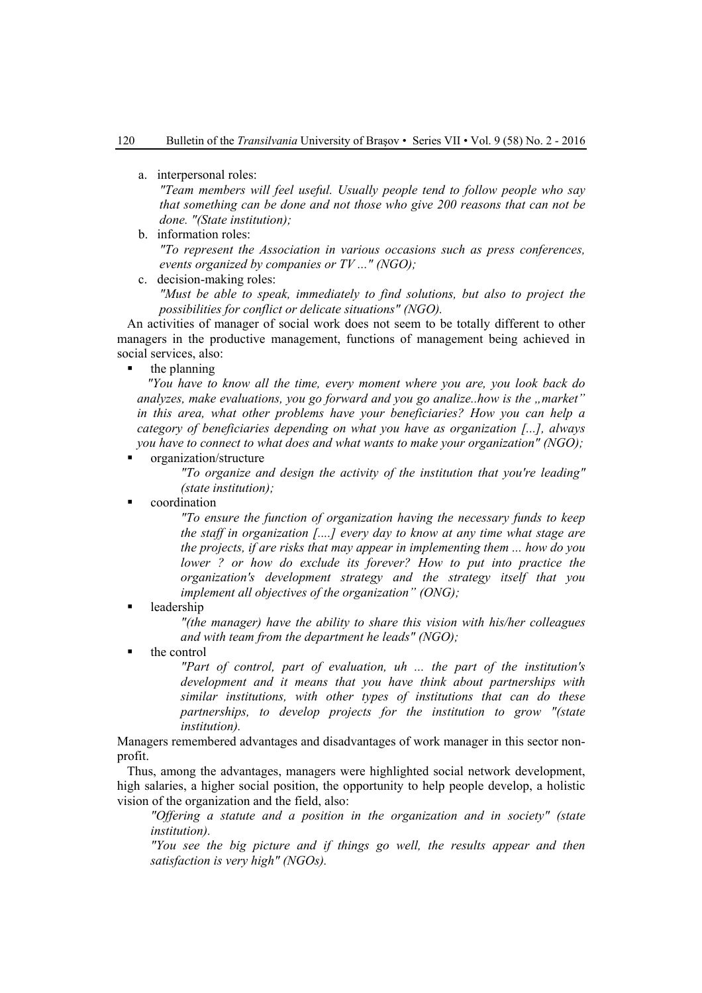a. interpersonal roles:

*"Team members will feel useful. Usually people tend to follow people who say that something can be done and not those who give 200 reasons that can not be done. "(State institution);* 

b. information roles:

*"To represent the Association in various occasions such as press conferences, events organized by companies or TV ..." (NGO);* 

c. decision-making roles:

*"Must be able to speak, immediately to find solutions, but also to project the possibilities for conflict or delicate situations" (NGO).* 

An activities of manager of social work does not seem to be totally different to other managers in the productive management, functions of management being achieved in social services, also:

the planning

*"You have to know all the time, every moment where you are, you look back do analyzes, make evaluations, you go forward and you go analize..how is the "market" in this area, what other problems have your beneficiaries? How you can help a category of beneficiaries depending on what you have as organization [...], always you have to connect to what does and what wants to make your organization" (NGO);* 

organization/structure

*"To organize and design the activity of the institution that you're leading" (state institution);* 

coordination

*"To ensure the function of organization having the necessary funds to keep the staff in organization [....] every day to know at any time what stage are the projects, if are risks that may appear in implementing them ... how do you lower ? or how do exclude its forever? How to put into practice the organization's development strategy and the strategy itself that you implement all objectives of the organization" (ONG);* 

leadership

*"(the manager) have the ability to share this vision with his/her colleagues and with team from the department he leads" (NGO);* 

the control

*"Part of control, part of evaluation, uh ... the part of the institution's development and it means that you have think about partnerships with similar institutions, with other types of institutions that can do these partnerships, to develop projects for the institution to grow "(state institution).*

Managers remembered advantages and disadvantages of work manager in this sector nonprofit.

Thus, among the advantages, managers were highlighted social network development, high salaries, a higher social position, the opportunity to help people develop, a holistic vision of the organization and the field, also:

*"Offering a statute and a position in the organization and in society" (state institution).* 

*"You see the big picture and if things go well, the results appear and then satisfaction is very high" (NGOs).*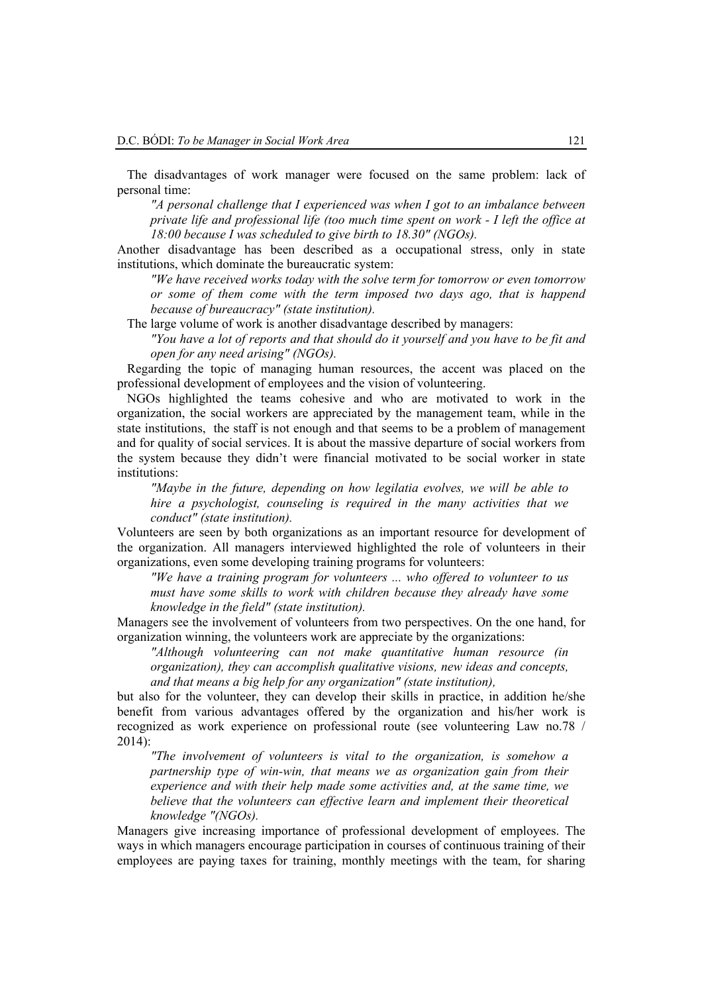The disadvantages of work manager were focused on the same problem: lack of personal time:

*"A personal challenge that I experienced was when I got to an imbalance between private life and professional life (too much time spent on work - I left the office at 18:00 because I was scheduled to give birth to 18.30" (NGOs).* 

Another disadvantage has been described as a occupational stress, only in state institutions, which dominate the bureaucratic system:

*"We have received works today with the solve term for tomorrow or even tomorrow or some of them come with the term imposed two days ago, that is happend because of bureaucracy" (state institution).* 

The large volume of work is another disadvantage described by managers:

*"You have a lot of reports and that should do it yourself and you have to be fit and open for any need arising" (NGOs).* 

Regarding the topic of managing human resources, the accent was placed on the professional development of employees and the vision of volunteering.

NGOs highlighted the teams cohesive and who are motivated to work in the organization, the social workers are appreciated by the management team, while in the state institutions, the staff is not enough and that seems to be a problem of management and for quality of social services. It is about the massive departure of social workers from the system because they didn't were financial motivated to be social worker in state institutions:

*"Maybe in the future, depending on how legilatia evolves, we will be able to hire a psychologist, counseling is required in the many activities that we conduct" (state institution).* 

Volunteers are seen by both organizations as an important resource for development of the organization. All managers interviewed highlighted the role of volunteers in their organizations, even some developing training programs for volunteers:

*"We have a training program for volunteers ... who offered to volunteer to us must have some skills to work with children because they already have some knowledge in the field" (state institution).* 

Managers see the involvement of volunteers from two perspectives. On the one hand, for organization winning, the volunteers work are appreciate by the organizations:

*"Although volunteering can not make quantitative human resource (in organization), they can accomplish qualitative visions, new ideas and concepts, and that means a big help for any organization" (state institution),* 

but also for the volunteer, they can develop their skills in practice, in addition he/she benefit from various advantages offered by the organization and his/her work is recognized as work experience on professional route (see volunteering Law no.78 / 2014):

*"The involvement of volunteers is vital to the organization, is somehow a partnership type of win-win, that means we as organization gain from their experience and with their help made some activities and, at the same time, we believe that the volunteers can effective learn and implement their theoretical knowledge "(NGOs).* 

Managers give increasing importance of professional development of employees. The ways in which managers encourage participation in courses of continuous training of their employees are paying taxes for training, monthly meetings with the team, for sharing